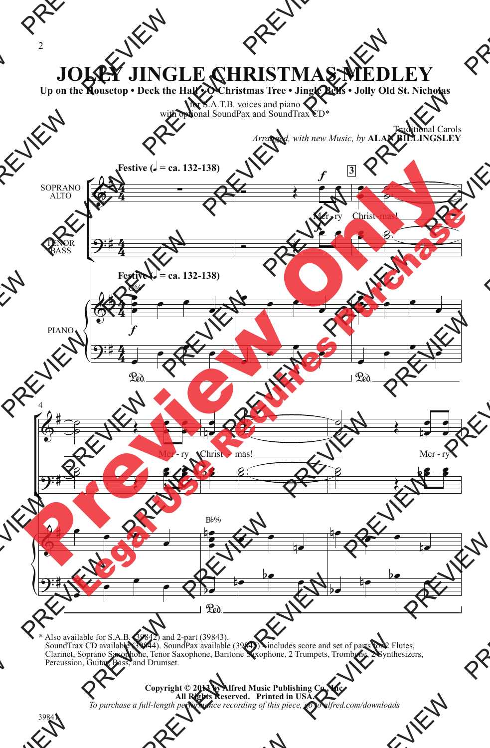## **JOLLY JINGLE CHRISTMAS MEDLEY**

**Up on the Housetop • Deck the Hall • O Christmas Tree • Jingle Bells • Jolly Old St. Nicholas**

for S.A.T.B. voices and piano with optional SoundPax and SoundTrax CD\*

> Traditional Carols *Arranged, with new Music, by* **ALAN BILLINGSLEY**

- .<br>آ ľ  $\left\{\begin{matrix} 1 \\ 0 \\ 0 \end{matrix}\right\}$ **Festive (** $\sqrt{ } =$  **ca. 132-138) Festive (** $\sqrt{ } =$  **ca. 132-138) 3** SOPRANO ALTO **TENOR** BASS PIANO 4  $\frac{1}{2}$  $\frac{4}{4}$  $\frac{1}{2}$  $\frac{4}{4}$  $\frac{1}{2}$  $\frac{4}{4}$  $\frac{1}{2}$  $\frac{4}{4}$  $\frac{27}{9}$  -Mer-ry f Christ <u>.</u>  $\frac{14}{4}$  f  $\frac{\partial}{\partial \theta}$  $\frac{G}{2}$ f <u>.</u> ŧ Led. Led.  $\delta^*$ Mer-ry Christ mas! Mer-ry <u>ี่ วุะ</u> ŧ  $\frac{24}{6}$  $Bb\%$ <u> 9:</u> ŧ  $\mathcal{P}_{\ell 0}$  $\begin{array}{c} \begin{array}{c} \cdot \end{array} \\ \begin{array}{c} \cdot \end{array} \end{array}$  $\leftarrow$  $\frac{1}{2}$  $\frac{1}{2}$ í  $\frac{1}{2}$ B  $\frac{1}{2}$ ļ  $\frac{2}{\sigma}$  $\mathcal{L}$ É  $\sum_{i=1}^{n}$  $\frac{1}{2}$  ,  $\frac{1}{2}$  ,  $\frac{1}{2}$  ,  $\frac{1}{2}$  ,  $\frac{1}{2}$  ,  $\frac{1}{2}$  $\overline{\mathsf{P}}$  $\frac{1}{2}$  $\frac{1}{2}$ È. 27  $\overline{\phantom{a}}$ **PAC**  $\frac{1}{2}$ j  $\frac{1}{2}$  $\overline{\bullet}$ e de la <mark>e</mark>  $\frac{1}{\bullet}$  $\frac{1}{2}$  $\frac{1}{\bullet}$  $\overline{8}$ g 1180 8  $\frac{1}{2}$  $\overline{\hspace{1.5cm}}$ 8  $\frac{12}{1}$  $\overline{\phantom{a}}$  $\frac{1}{2}$  $\bullet$  $\frac{1}{\rho}$  ,  $\frac{1}{\rho}$ <u>ge e ge</u>  $\frac{b}{2}$  and  $\frac{b}{2}$  is the  $\frac{b}{2}$  defined by  $\frac{b}{2}$ PREVIEW PREVIEW PREVIEW PREVIEW PREVIEW PREVIEW PREVIEW PREVIEW PREVIEW PREVIEW PREVIEW PREVIEW PREVIEW PREVIEW PREVIEW PREVIEW PREVIEW PREVIEW PREVIEW PREVIEW PREVIEW PREVIEW PREVIEW PREVIEW PREVIEW PREVIEW PREVIEW PREVI PREVIEW PREVIEW PREVIEW PREVIEW PREVIEW PREVIEW PREVIEW PREVIEW PREVIEW PREVIEW PREVIEW (J = CR. 132-138)<br>
SOPRANO PREVIEW (J = CR. 132-138)<br>
TENOR PREVIEW PREVIEW PREVIEW PREVIEW PREVIEW PREVIEW PREVIEW PREVIEW PREVIEW P PREVIEW PREVIEW PREVIEW PREVIEW PREVIEW PREVIEW PREVIEW PREVIEW PREVIEW PREVIEW PREVIEW PREVIEW PREVIEW PREVIEW PREVIEW PREVIEW PREVIEW PREVIEW PREVIEW PREVIEW PREVIEW PREVIEW PREVIEW PREVIEW PREVIEW PREVIEW PREVIEW PREVI PREVIEW PREVIEW PREVIEW PREVIEW PREVIEW PREVIEW PREVIEW PREVIEW PREVIEW PREVIEW PREVIEW PREVIEW PREVIEW PREVIEW PREVIEW PREVIEW PREVIEW PREVIEW PREVIEW PREVIEW PREVIEW PREVIEW PREVIEW PREVIEW PREVIEW PREVIEW PREVIEW PREVI PREVIEW PREVIEW PREVIEW PREVIEW PREVIEW PREVIEW PREVIEW PREVIEW PREVIEW PREVIEW PREVIEW PREVIEW PREVIEW PREVIEW PREVIEW PREVIEW PREVIEW PREVIEW PREVIEW PREVIEW PREVIEW PREVIEW PREVIEW PREVIEW PREVIEW PREVIEW PREVIEW PREVIE PREVIEW PREVIEW PREVIEW PREVIEW PREVIEW PREVIEW PREVIEW PREVIEW PREVIEW PREVIEW PREVIEW PREVIEW PREVIEW PREVIEW PREVIEW PREVIEW PREVIEW PREVIEW PREVIEW PREVIEW PREVIEW PREVIEW PREVIEW PREVIEW PREVIEW PREVIEW PREVIEW PREVIEW PREVIEW PREVIEW PREVIEW PREVIEW PREVIEW PREVIE PREVIEW PREVIEW PREVIEW PREVIEW PREVIEW PREVIEW PREVIEW PREVIEW PREVIEW PREVIEW PREVIEW PREVIEW PREVIEW PREVIEW PREVIEW PREVIEW PREVIEW PREVIEW PREVIEW PREVIEW PREVIEW PREVIEW PREVIEW PREVIEW PREVIEW PREVIEW PREVIEW PREVI PREVIEW  $(x) = c_1$ . 133-138)<br>
PREVIEW  $(x) = c_1$ . 133-138)<br>
PREVIEW PREVIEW PREVIEW PREVIEW PREVIEW PREVIEW PREVIEW PREVIEW PREVIEW PREVIEW PREVIEW PREVIEW PREVIEW PREVIEW PREVIEW PREVIEW PREVIEW PREVIEW PREVIEW PREVIEW PREVI Preview Preview Preview Preview Preview Preview Preview Preview Preview Preview Preview Preview Preview Preview Preview Preview Preview Preview Preview Preview Preview Preview Preview Preview Preview Preview Preview Previe Preview Preview Preview Preview Preview Preview Preview Preview Preview Preview Preview Preview Preview Preview Preview Preview Preview Preview Preview Preview Preview Preview Preview Preview Preview Preview Preview Previ Predix (Predix (Predix (Predix 132-138)<br>
Predix (Predix (Predix 132-138)<br>
Predix (Predix (Predix 132-138)<br>
Predix (Predix (Predix 132-138)<br>
Predix (Predix 132-138)<br>
Predix (Predix 132-138)<br>
Predix (Predix 132-138)<br>
Predix  $e^{3\frac{1}{2} \sum_{\substack{\text{Festive} (L-\alpha, 132.138) \\ \text{Fis } L_1, \dots, L_n \text{ is a } \\ \text{Fis } L_2, \dots, L_n \text{ is a } \\ \text{Fis } L_1, \dots, L_n \text{ is a } \\ \text{Fis } L_2, \dots, L_n \text{ is a } \\ \text{Fis } L_1, \dots, L_n \text{ is a } \\ \text{Fis } L_1, \dots, L_n \text{ is a } \\ \text{Fis } L_2, \dots, L_n \text{ is a } \\ \text{Fis } L_1, \dots, L_n \text{ is a } \\ \text{Fis }$ 

\* Also available for S.A.B. (39842) and 2-part (39843). SoundTrax CD available (39844). SoundPax available (39845) - includes score and set of parts for 2 Flutes, Clarinet, Soprano Saxophone, Tenor Saxophone, Baritone Saxophone, 2 Trumpets, Trombone, 2 Synthesizers, Percussion, Guitar, Bass, and Drumset.

## **Copyright © 2013 by Alfred Music Publishing Co., Inc. All Rights Reserved. Printed in USA.**

*To purchase a full-length performance recording of this piece, go to alfred.com/downloads*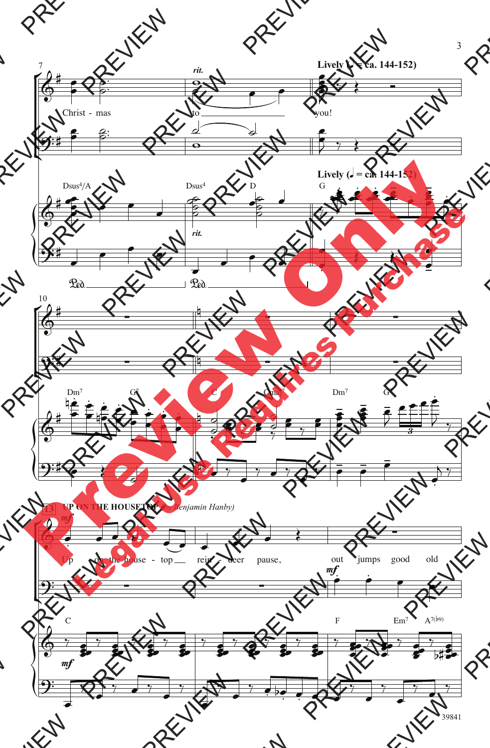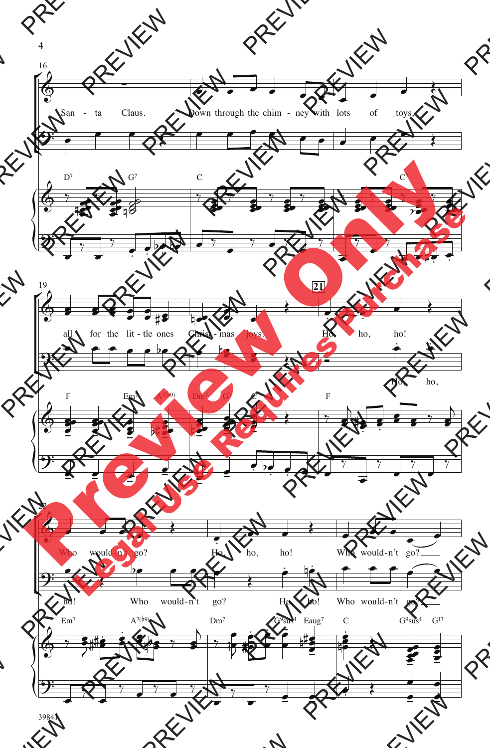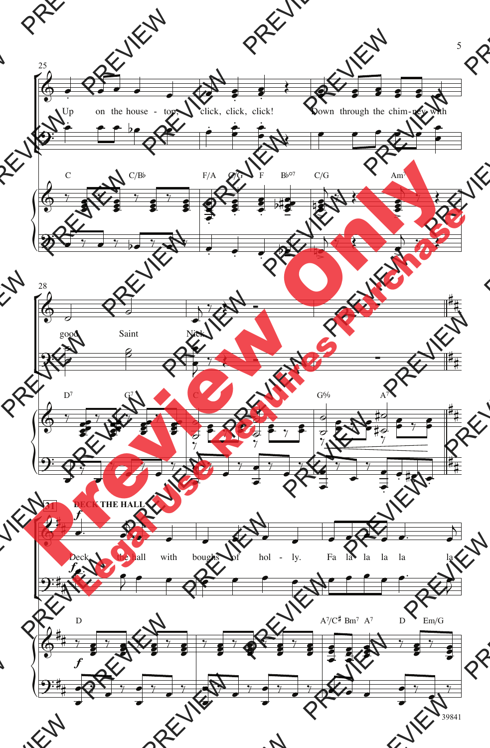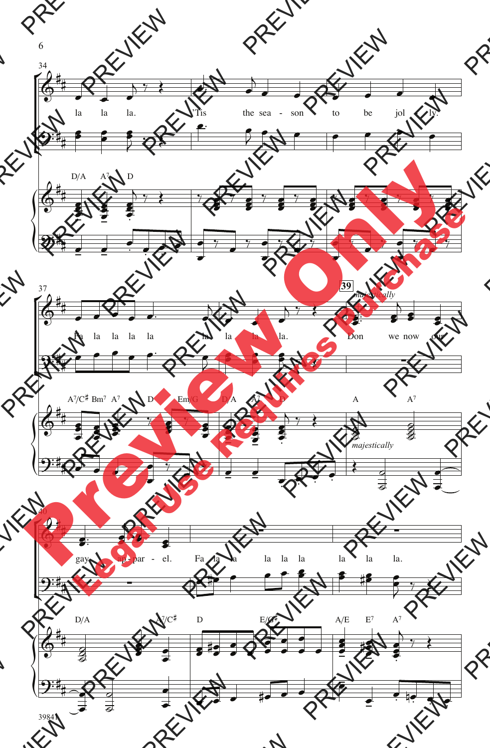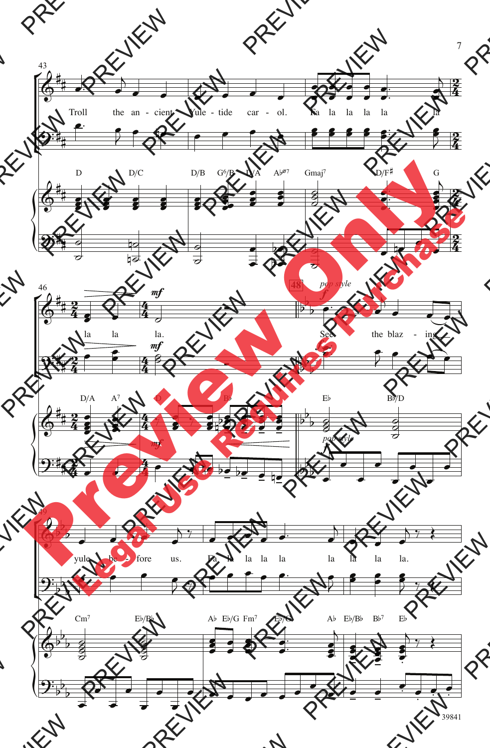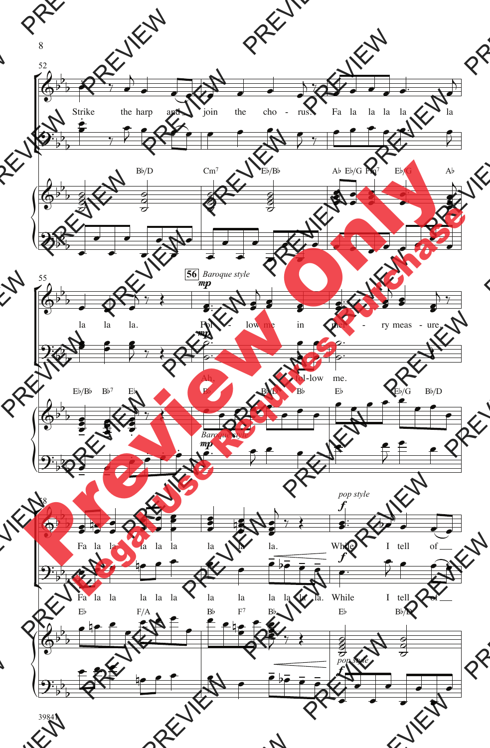![](_page_6_Figure_0.jpeg)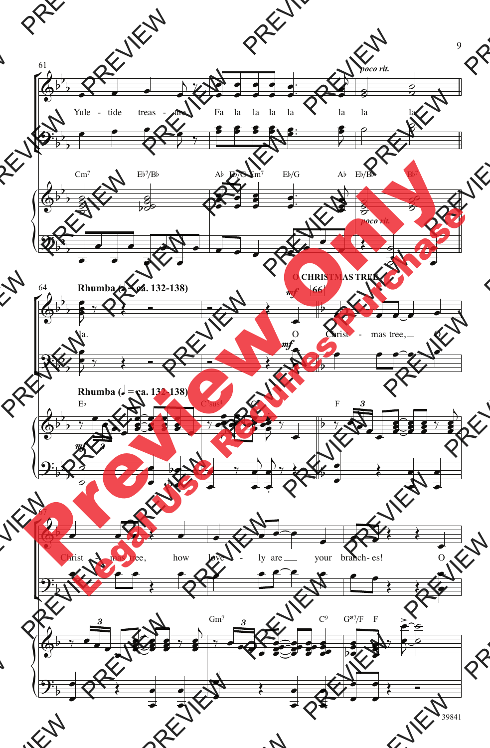![](_page_7_Figure_0.jpeg)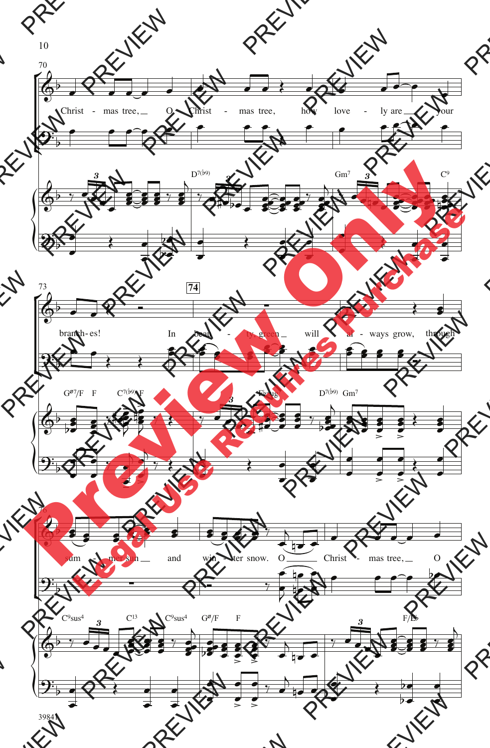![](_page_8_Figure_0.jpeg)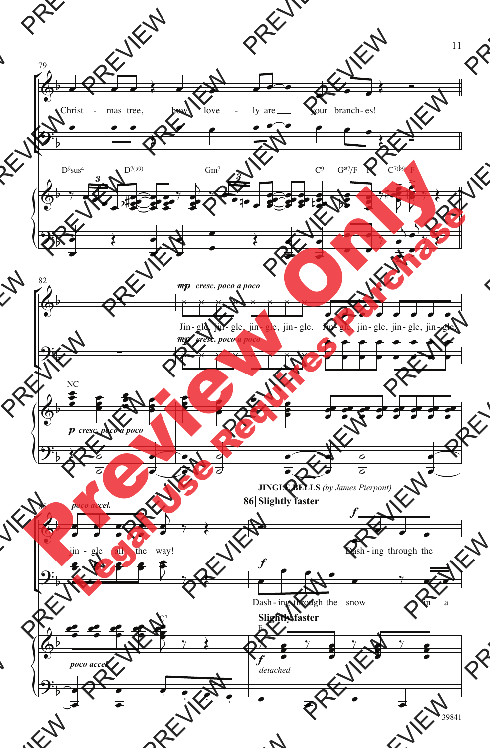![](_page_9_Figure_0.jpeg)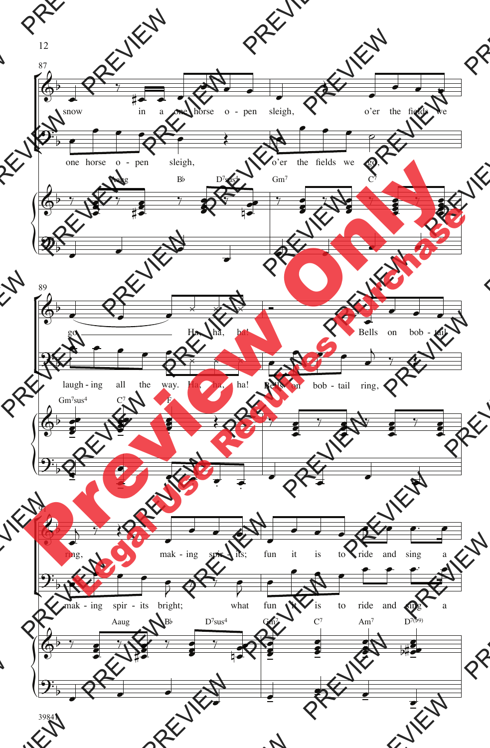![](_page_10_Figure_0.jpeg)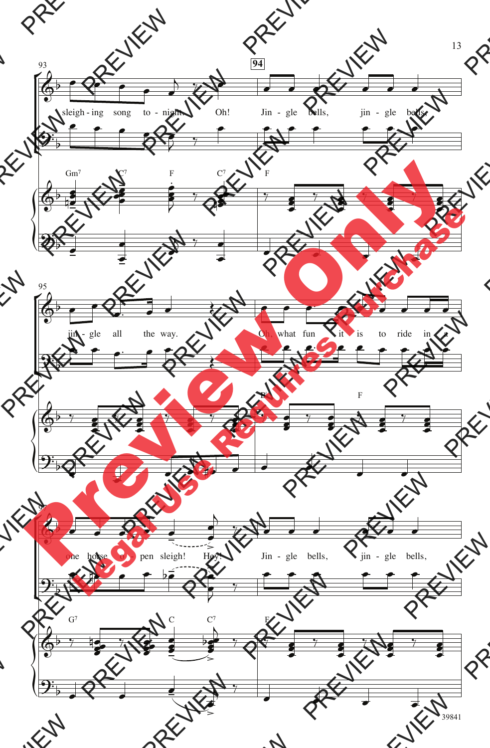![](_page_11_Figure_0.jpeg)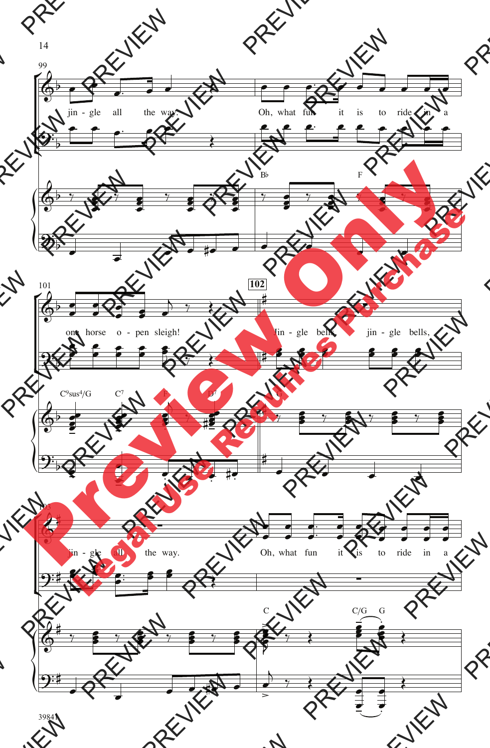![](_page_12_Figure_0.jpeg)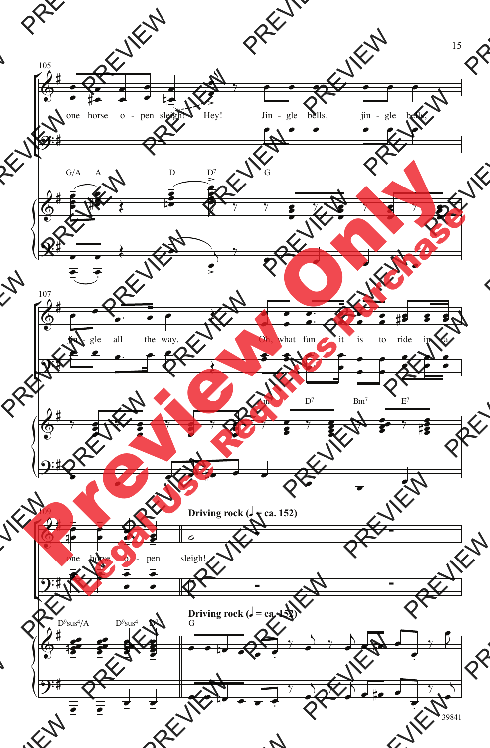![](_page_13_Figure_0.jpeg)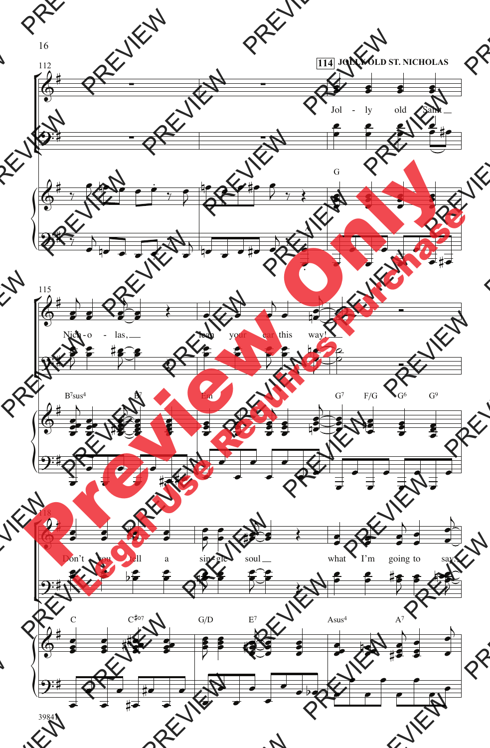![](_page_14_Figure_0.jpeg)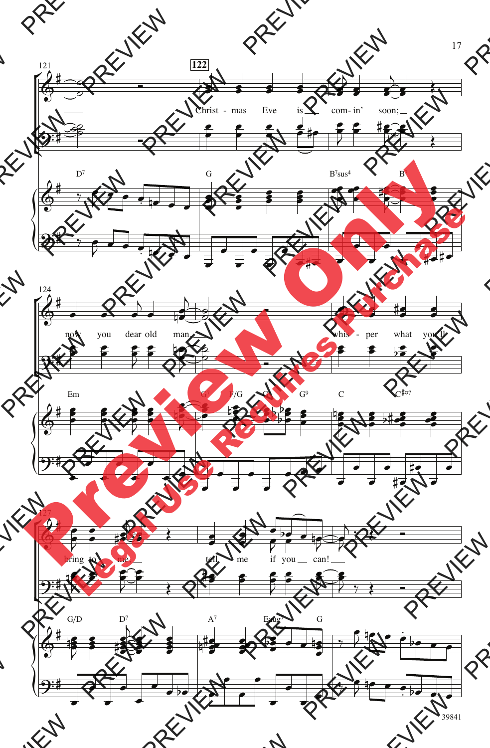![](_page_15_Figure_0.jpeg)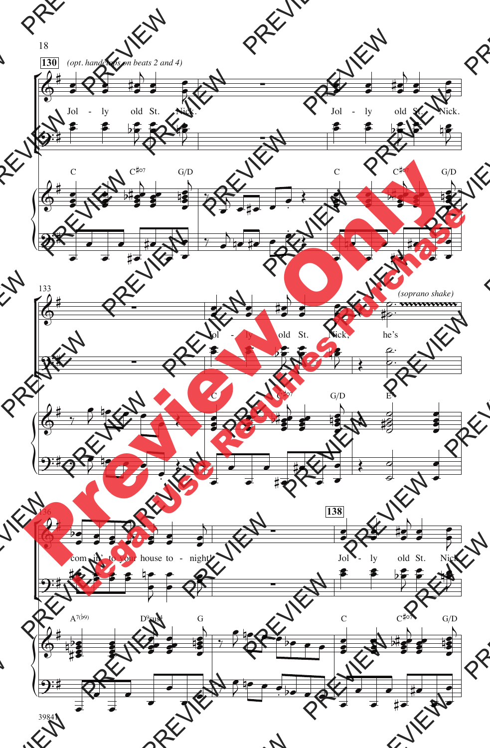![](_page_16_Figure_0.jpeg)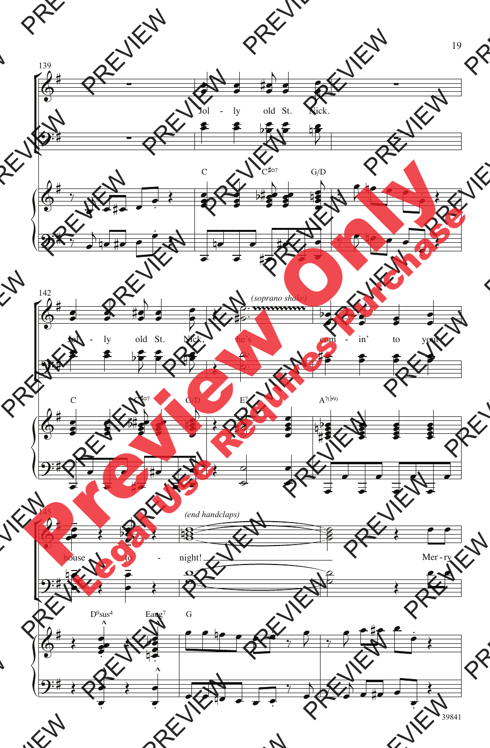![](_page_17_Figure_0.jpeg)